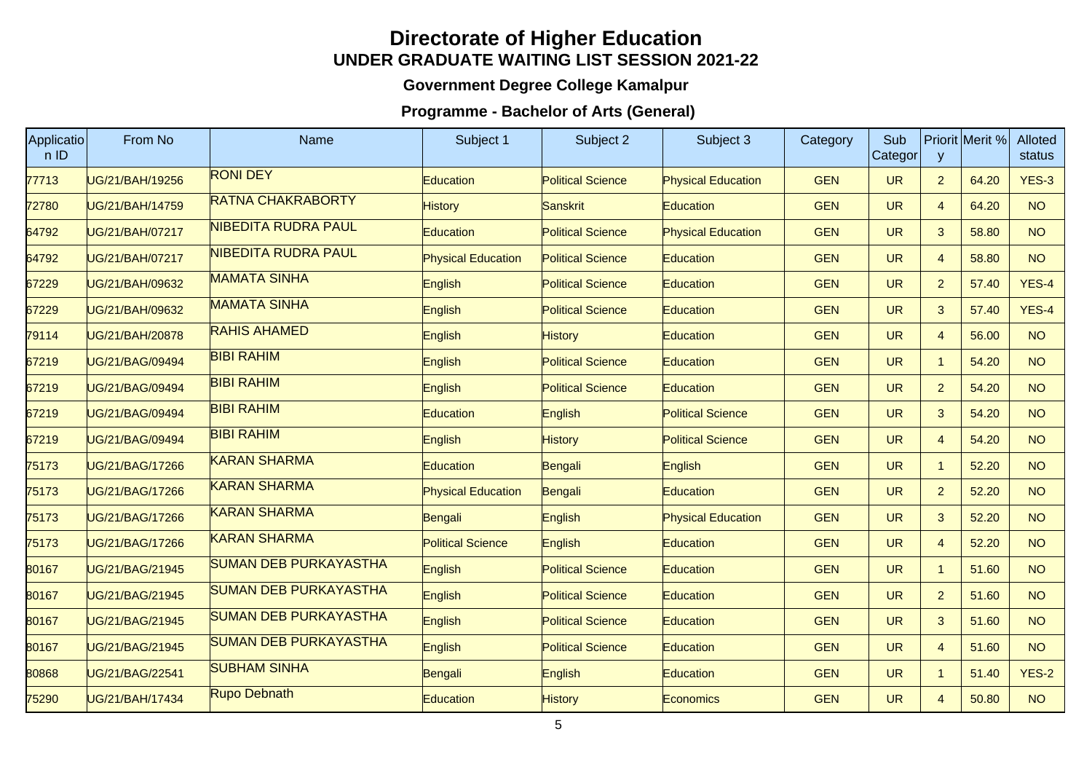## **Directorate of Higher EducationUNDER GRADUATE WAITING LIST SESSION 2021-22**

## **Government Degree College Kamalpur**

## **Programme - Bachelor of Arts (General)**

| Applicatio<br>nID | From No         | Name                         | Subject 1                 | Subject 2                | Subject 3                 | Category   | Sub<br>Categor | y              | Priorit Merit % | <b>Alloted</b><br>status |
|-------------------|-----------------|------------------------------|---------------------------|--------------------------|---------------------------|------------|----------------|----------------|-----------------|--------------------------|
| 77713             | UG/21/BAH/19256 | <b>RONI DEY</b>              | Education                 | <b>Political Science</b> | <b>Physical Education</b> | <b>GEN</b> | <b>UR</b>      | $\overline{2}$ | 64.20           | $YES-3$                  |
| 72780             | UG/21/BAH/14759 | <b>RATNA CHAKRABORTY</b>     | <b>History</b>            | Sanskrit                 | Education                 | <b>GEN</b> | <b>UR</b>      | $\overline{4}$ | 64.20           | <b>NO</b>                |
| 64792             | UG/21/BAH/07217 | NIBEDITA RUDRA PAUL          | Education                 | <b>Political Science</b> | <b>Physical Education</b> | <b>GEN</b> | <b>UR</b>      | $\mathbf{3}$   | 58.80           | <b>NO</b>                |
| 64792             | UG/21/BAH/07217 | NIBEDITA RUDRA PAUL          | <b>Physical Education</b> | <b>Political Science</b> | Education                 | <b>GEN</b> | <b>UR</b>      | $\overline{4}$ | 58.80           | <b>NO</b>                |
| 67229             | UG/21/BAH/09632 | <b>MAMATA SINHA</b>          | English                   | <b>Political Science</b> | Education                 | <b>GEN</b> | <b>UR</b>      | $\overline{2}$ | 57.40           | $YES-4$                  |
| 67229             | UG/21/BAH/09632 | <b>MAMATA SINHA</b>          | English                   | <b>Political Science</b> | Education                 | <b>GEN</b> | <b>UR</b>      | $\mathbf{3}$   | 57.40           | $YES-4$                  |
| 79114             | UG/21/BAH/20878 | <b>RAHIS AHAMED</b>          | English                   | <b>History</b>           | Education                 | <b>GEN</b> | <b>UR</b>      | $\overline{4}$ | 56.00           | <b>NO</b>                |
| 67219             | UG/21/BAG/09494 | <b>BIBI RAHIM</b>            | English                   | <b>Political Science</b> | Education                 | <b>GEN</b> | <b>UR</b>      | $\mathbf{1}$   | 54.20           | <b>NO</b>                |
| 67219             | UG/21/BAG/09494 | <b>BIBI RAHIM</b>            | English                   | <b>Political Science</b> | <b>Education</b>          | <b>GEN</b> | <b>UR</b>      | $\overline{2}$ | 54.20           | <b>NO</b>                |
| 67219             | UG/21/BAG/09494 | <b>BIBI RAHIM</b>            | Education                 | English                  | <b>Political Science</b>  | <b>GEN</b> | <b>UR</b>      | $\mathbf{3}$   | 54.20           | <b>NO</b>                |
| 67219             | UG/21/BAG/09494 | <b>BIBI RAHIM</b>            | English                   | <b>History</b>           | <b>Political Science</b>  | <b>GEN</b> | <b>UR</b>      | $\overline{4}$ | 54.20           | <b>NO</b>                |
| 75173             | UG/21/BAG/17266 | <b>KARAN SHARMA</b>          | Education                 | Bengali                  | English                   | <b>GEN</b> | <b>UR</b>      | $\mathbf{1}$   | 52.20           | <b>NO</b>                |
| 75173             | UG/21/BAG/17266 | <b>KARAN SHARMA</b>          | <b>Physical Education</b> | Bengali                  | Education                 | <b>GEN</b> | <b>UR</b>      | $\overline{2}$ | 52.20           | <b>NO</b>                |
| 75173             | UG/21/BAG/17266 | <b>KARAN SHARMA</b>          | Bengali                   | English                  | Physical Education        | <b>GEN</b> | <b>UR</b>      | $\mathbf{3}$   | 52.20           | <b>NO</b>                |
| 75173             | UG/21/BAG/17266 | <b>KARAN SHARMA</b>          | <b>Political Science</b>  | English                  | Education                 | <b>GEN</b> | <b>UR</b>      | $\overline{4}$ | 52.20           | <b>NO</b>                |
| 80167             | UG/21/BAG/21945 | <b>SUMAN DEB PURKAYASTHA</b> | English                   | <b>Political Science</b> | Education                 | <b>GEN</b> | <b>UR</b>      | $\overline{1}$ | 51.60           | <b>NO</b>                |
| 80167             | UG/21/BAG/21945 | <b>SUMAN DEB PURKAYASTHA</b> | English                   | <b>Political Science</b> | Education                 | <b>GEN</b> | <b>UR</b>      | $\overline{2}$ | 51.60           | <b>NO</b>                |
| 80167             | UG/21/BAG/21945 | <b>SUMAN DEB PURKAYASTHA</b> | English                   | <b>Political Science</b> | Education                 | <b>GEN</b> | <b>UR</b>      | $\mathbf{3}$   | 51.60           | <b>NO</b>                |
| 80167             | UG/21/BAG/21945 | <b>SUMAN DEB PURKAYASTHA</b> | English                   | <b>Political Science</b> | Education                 | <b>GEN</b> | <b>UR</b>      | $\overline{4}$ | 51.60           | <b>NO</b>                |
| 80868             | UG/21/BAG/22541 | <b>SUBHAM SINHA</b>          | Bengali                   | English                  | Education                 | <b>GEN</b> | <b>UR</b>      | $\overline{1}$ | 51.40           | <b>YES-2</b>             |
| 75290             | UG/21/BAH/17434 | Rupo Debnath                 | Education                 | <b>History</b>           | Economics                 | <b>GEN</b> | <b>UR</b>      | $\overline{4}$ | 50.80           | <b>NO</b>                |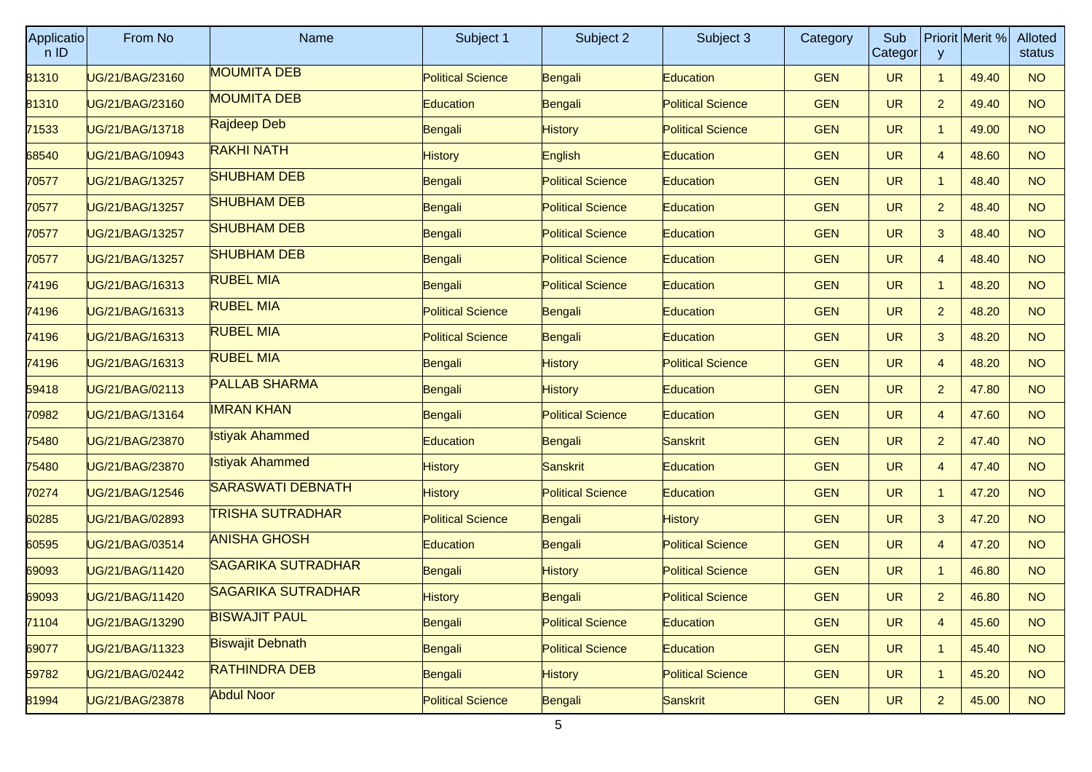| Applicatio<br>nID | From No                | <b>Name</b>               | Subject 1                | Subject 2                | Subject 3                | Category   | Sub<br>Categor | y              | Priorit Merit % | Alloted<br>status |
|-------------------|------------------------|---------------------------|--------------------------|--------------------------|--------------------------|------------|----------------|----------------|-----------------|-------------------|
| 81310             | UG/21/BAG/23160        | <b>MOUMITA DEB</b>        | <b>Political Science</b> | Bengali                  | <b>Education</b>         | <b>GEN</b> | <b>UR</b>      | $\mathbf{1}$   | 49.40           | <b>NO</b>         |
| 81310             | <b>JG/21/BAG/23160</b> | <b>MOUMITA DEB</b>        | <b>Education</b>         | Bengali                  | <b>Political Science</b> | <b>GEN</b> | <b>UR</b>      | $\overline{2}$ | 49.40           | <b>NO</b>         |
| 71533             | UG/21/BAG/13718        | Rajdeep Deb               | Bengali                  | <b>History</b>           | <b>Political Science</b> | <b>GEN</b> | <b>UR</b>      | 1              | 49.00           | <b>NO</b>         |
| 68540             | UG/21/BAG/10943        | <b>RAKHI NATH</b>         | <b>History</b>           | English                  | Education                | <b>GEN</b> | <b>UR</b>      | $\overline{4}$ | 48.60           | <b>NO</b>         |
| 70577             | <b>JG/21/BAG/13257</b> | <b>SHUBHAM DEB</b>        | Bengali                  | <b>Political Science</b> | <b>Education</b>         | <b>GEN</b> | <b>UR</b>      | 1              | 48.40           | <b>NO</b>         |
| 70577             | UG/21/BAG/13257        | <b>SHUBHAM DEB</b>        | Bengali                  | <b>Political Science</b> | <b>Education</b>         | <b>GEN</b> | <b>UR</b>      | $\overline{2}$ | 48.40           | <b>NO</b>         |
| 70577             | UG/21/BAG/13257        | <b>SHUBHAM DEB</b>        | Bengali                  | <b>Political Science</b> | Education                | <b>GEN</b> | <b>UR</b>      | 3              | 48.40           | <b>NO</b>         |
| 70577             | <b>JG/21/BAG/13257</b> | <b>SHUBHAM DEB</b>        | Bengali                  | <b>Political Science</b> | <b>Education</b>         | <b>GEN</b> | <b>UR</b>      | 4              | 48.40           | <b>NO</b>         |
| 74196             | UG/21/BAG/16313        | <b>RUBEL MIA</b>          | Bengali                  | <b>Political Science</b> | <b>Education</b>         | <b>GEN</b> | <b>UR</b>      | 1              | 48.20           | <b>NO</b>         |
| 74196             | UG/21/BAG/16313        | <b>RUBEL MIA</b>          | <b>Political Science</b> | Bengali                  | Education                | <b>GEN</b> | <b>UR</b>      | $\overline{2}$ | 48.20           | <b>NO</b>         |
| 74196             | <b>JG/21/BAG/16313</b> | <b>RUBEL MIA</b>          | <b>Political Science</b> | Bengali                  | <b>Education</b>         | <b>GEN</b> | <b>UR</b>      | 3              | 48.20           | <b>NO</b>         |
| 74196             | UG/21/BAG/16313        | <b>RUBEL MIA</b>          | Bengali                  | <b>History</b>           | <b>Political Science</b> | <b>GEN</b> | <b>UR</b>      | 4              | 48.20           | <b>NO</b>         |
| 59418             | UG/21/BAG/02113        | <b>PALLAB SHARMA</b>      | Bengali                  | <b>History</b>           | Education                | <b>GEN</b> | <b>UR</b>      | $\overline{2}$ | 47.80           | <b>NO</b>         |
| 70982             | <b>JG/21/BAG/13164</b> | <b>IMRAN KHAN</b>         | Bengali                  | <b>Political Science</b> | <b>Education</b>         | <b>GEN</b> | <b>UR</b>      | 4              | 47.60           | <b>NO</b>         |
| 75480             | UG/21/BAG/23870        | <b>Istiyak Ahammed</b>    | Education                | Bengali                  | Sanskrit                 | <b>GEN</b> | <b>UR</b>      | $\overline{2}$ | 47.40           | <b>NO</b>         |
| 75480             | UG/21/BAG/23870        | <b>Istiyak Ahammed</b>    | <b>History</b>           | Sanskrit                 | Education                | <b>GEN</b> | <b>UR</b>      | 4              | 47.40           | <b>NO</b>         |
| 70274             | <b>JG/21/BAG/12546</b> | <b>SARASWATI DEBNATH</b>  | History                  | <b>Political Science</b> | <b>Education</b>         | <b>GEN</b> | <b>UR</b>      | $\mathbf{1}$   | 47.20           | <b>NO</b>         |
| 60285             | UG/21/BAG/02893        | TRISHA SUTRADHAR          | <b>Political Science</b> | Bengali                  | <b>History</b>           | <b>GEN</b> | <b>UR</b>      | 3              | 47.20           | <b>NO</b>         |
| 60595             | UG/21/BAG/03514        | <b>ANISHA GHOSH</b>       | Education                | Bengali                  | <b>Political Science</b> | <b>GEN</b> | <b>UR</b>      | 4              | 47.20           | <b>NO</b>         |
| 69093             | <b>JG/21/BAG/11420</b> | <b>SAGARIKA SUTRADHAR</b> | Bengali                  | <b>History</b>           | <b>Political Science</b> | <b>GEN</b> | <b>UR</b>      | $\mathbf{1}$   | 46.80           | <b>NO</b>         |
| 69093             | UG/21/BAG/11420        | <b>SAGARIKA SUTRADHAR</b> | <b>History</b>           | Bengali                  | <b>Political Science</b> | <b>GEN</b> | <b>UR</b>      | 2              | 46.80           | <b>NO</b>         |
| 71104             | UG/21/BAG/13290        | <b>BISWAJIT PAUL</b>      | Bengali                  | <b>Political Science</b> | Education                | <b>GEN</b> | <b>UR</b>      | $\overline{4}$ | 45.60           | <b>NO</b>         |
| 69077             | <b>JG/21/BAG/11323</b> | <b>Biswajit Debnath</b>   | Bengali                  | <b>Political Science</b> | <b>Education</b>         | <b>GEN</b> | <b>UR</b>      | $\mathbf{1}$   | 45.40           | <b>NO</b>         |
| 59782             | UG/21/BAG/02442        | <b>RATHINDRA DEB</b>      | Bengali                  | <b>History</b>           | <b>Political Science</b> | <b>GEN</b> | <b>UR</b>      | 1              | 45.20           | <b>NO</b>         |
| 81994             | UG/21/BAG/23878        | <b>Abdul Noor</b>         | <b>Political Science</b> | Bengali                  | Sanskrit                 | <b>GEN</b> | <b>UR</b>      | $\overline{a}$ | 45.00           | NO                |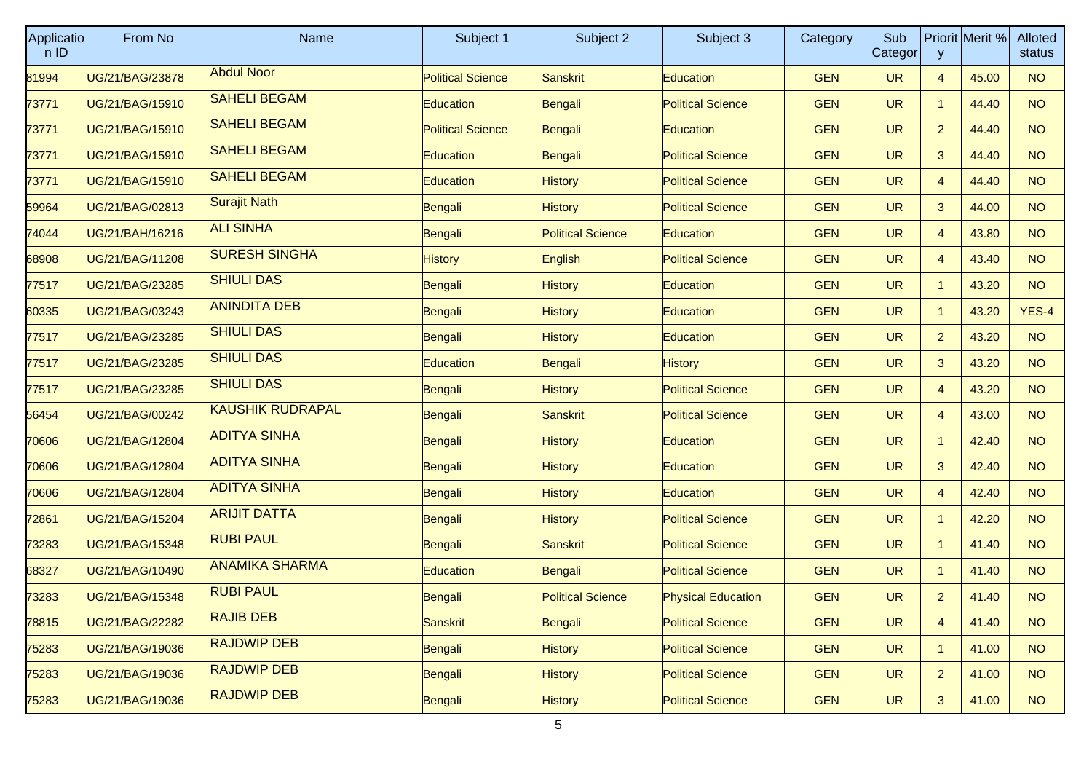| Applicatio<br>n ID | From No         | <b>Name</b>             | Subject 1                | Subject 2                | Subject 3                 | Category   | Sub<br>Categor | $\mathsf{y}$   | Priorit Merit % | Alloted<br>status |
|--------------------|-----------------|-------------------------|--------------------------|--------------------------|---------------------------|------------|----------------|----------------|-----------------|-------------------|
| 81994              | UG/21/BAG/23878 | <b>Abdul Noor</b>       | <b>Political Science</b> | Sanskrit                 | Education                 | <b>GEN</b> | <b>UR</b>      | $\overline{4}$ | 45.00           | <b>NO</b>         |
| 73771              | UG/21/BAG/15910 | <b>SAHELI BEGAM</b>     | <b>Education</b>         | Bengali                  | <b>Political Science</b>  | <b>GEN</b> | <b>UR</b>      | $\mathbf{1}$   | 44.40           | <b>NO</b>         |
| 73771              | UG/21/BAG/15910 | <b>SAHELI BEGAM</b>     | <b>Political Science</b> | Bengali                  | Education                 | <b>GEN</b> | <b>UR</b>      | $\overline{2}$ | 44.40           | <b>NO</b>         |
| 73771              | UG/21/BAG/15910 | <b>SAHELI BEGAM</b>     | Education                | Bengali                  | <b>Political Science</b>  | <b>GEN</b> | <b>UR</b>      | 3              | 44.40           | <b>NO</b>         |
| 73771              | UG/21/BAG/15910 | <b>SAHELI BEGAM</b>     | <b>Education</b>         | <b>History</b>           | <b>Political Science</b>  | <b>GEN</b> | <b>UR</b>      | $\overline{4}$ | 44.40           | <b>NO</b>         |
| 59964              | UG/21/BAG/02813 | <b>Surajit Nath</b>     | Bengali                  | <b>History</b>           | <b>Political Science</b>  | <b>GEN</b> | <b>UR</b>      | 3              | 44.00           | <b>NO</b>         |
| 74044              | UG/21/BAH/16216 | <b>ALI SINHA</b>        | Bengali                  | <b>Political Science</b> | Education                 | <b>GEN</b> | <b>UR</b>      | 4              | 43.80           | <b>NO</b>         |
| 68908              | UG/21/BAG/11208 | <b>SURESH SINGHA</b>    | History                  | English                  | <b>Political Science</b>  | <b>GEN</b> | <b>UR</b>      | $\overline{4}$ | 43.40           | <b>NO</b>         |
| 77517              | UG/21/BAG/23285 | <b>SHIULI DAS</b>       | Bengali                  | <b>History</b>           | Education                 | <b>GEN</b> | <b>UR</b>      | $\mathbf{1}$   | 43.20           | <b>NO</b>         |
| 60335              | UG/21/BAG/03243 | <b>ANINDITA DEB</b>     | Bengali                  | <b>History</b>           | Education                 | <b>GEN</b> | <b>UR</b>      | $\mathbf{1}$   | 43.20           | $YES-4$           |
| 77517              | UG/21/BAG/23285 | <b>SHIULI DAS</b>       | Bengali                  | <b>History</b>           | <b>Education</b>          | <b>GEN</b> | <b>UR</b>      | $\overline{2}$ | 43.20           | <b>NO</b>         |
| 77517              | UG/21/BAG/23285 | <b>SHIULI DAS</b>       | <b>Education</b>         | Bengali                  | <b>History</b>            | <b>GEN</b> | <b>UR</b>      | 3              | 43.20           | <b>NO</b>         |
| 77517              | UG/21/BAG/23285 | <b>SHIULI DAS</b>       | Bengali                  | History                  | <b>Political Science</b>  | <b>GEN</b> | <b>UR</b>      | 4              | 43.20           | <b>NO</b>         |
| 56454              | UG/21/BAG/00242 | <b>KAUSHIK RUDRAPAL</b> | Bengali                  | Sanskrit                 | <b>Political Science</b>  | <b>GEN</b> | <b>UR</b>      | $\overline{4}$ | 43.00           | <b>NO</b>         |
| 70606              | UG/21/BAG/12804 | <b>ADITYA SINHA</b>     | Bengali                  | <b>History</b>           | Education                 | <b>GEN</b> | <b>UR</b>      | $\mathbf{1}$   | 42.40           | <b>NO</b>         |
| 70606              | UG/21/BAG/12804 | <b>ADITYA SINHA</b>     | Bengali                  | <b>History</b>           | Education                 | <b>GEN</b> | <b>UR</b>      | 3              | 42.40           | <b>NO</b>         |
| 70606              | UG/21/BAG/12804 | <b>ADITYA SINHA</b>     | Bengali                  | History                  | <b>Education</b>          | <b>GEN</b> | <b>UR</b>      | $\overline{4}$ | 42.40           | <b>NO</b>         |
| 72861              | UG/21/BAG/15204 | <b>ARIJIT DATTA</b>     | Bengali                  | <b>History</b>           | <b>Political Science</b>  | <b>GEN</b> | <b>UR</b>      | $\mathbf{1}$   | 42.20           | <b>NO</b>         |
| 73283              | UG/21/BAG/15348 | <b>RUBI PAUL</b>        | Bengali                  | Sanskrit                 | <b>Political Science</b>  | <b>GEN</b> | <b>UR</b>      | $\mathbf{1}$   | 41.40           | <b>NO</b>         |
| 68327              | UG/21/BAG/10490 | <b>ANAMIKA SHARMA</b>   | <b>Education</b>         | Bengali                  | <b>Political Science</b>  | <b>GEN</b> | <b>UR</b>      | $\mathbf{1}$   | 41.40           | <b>NO</b>         |
| 73283              | UG/21/BAG/15348 | <b>RUBI PAUL</b>        | Bengali                  | <b>Political Science</b> | <b>Physical Education</b> | <b>GEN</b> | <b>UR</b>      | $\overline{2}$ | 41.40           | <b>NO</b>         |
| 78815              | UG/21/BAG/22282 | <b>RAJIB DEB</b>        | Sanskrit                 | Bengali                  | <b>Political Science</b>  | <b>GEN</b> | <b>UR</b>      | $\overline{4}$ | 41.40           | <b>NO</b>         |
| 75283              | UG/21/BAG/19036 | <b>RAJDWIP DEB</b>      | Bengali                  | <b>History</b>           | <b>Political Science</b>  | <b>GEN</b> | <b>UR</b>      | $\mathbf{1}$   | 41.00           | <b>NO</b>         |
| 75283              | UG/21/BAG/19036 | <b>RAJDWIP DEB</b>      | Bengali                  | <b>History</b>           | <b>Political Science</b>  | <b>GEN</b> | <b>UR</b>      | $\overline{2}$ | 41.00           | NO                |
| 75283              | UG/21/BAG/19036 | <b>RAJDWIP DEB</b>      | Bengali                  | <b>History</b>           | <b>Political Science</b>  | <b>GEN</b> | <b>UR</b>      | 3              | 41.00           | NO                |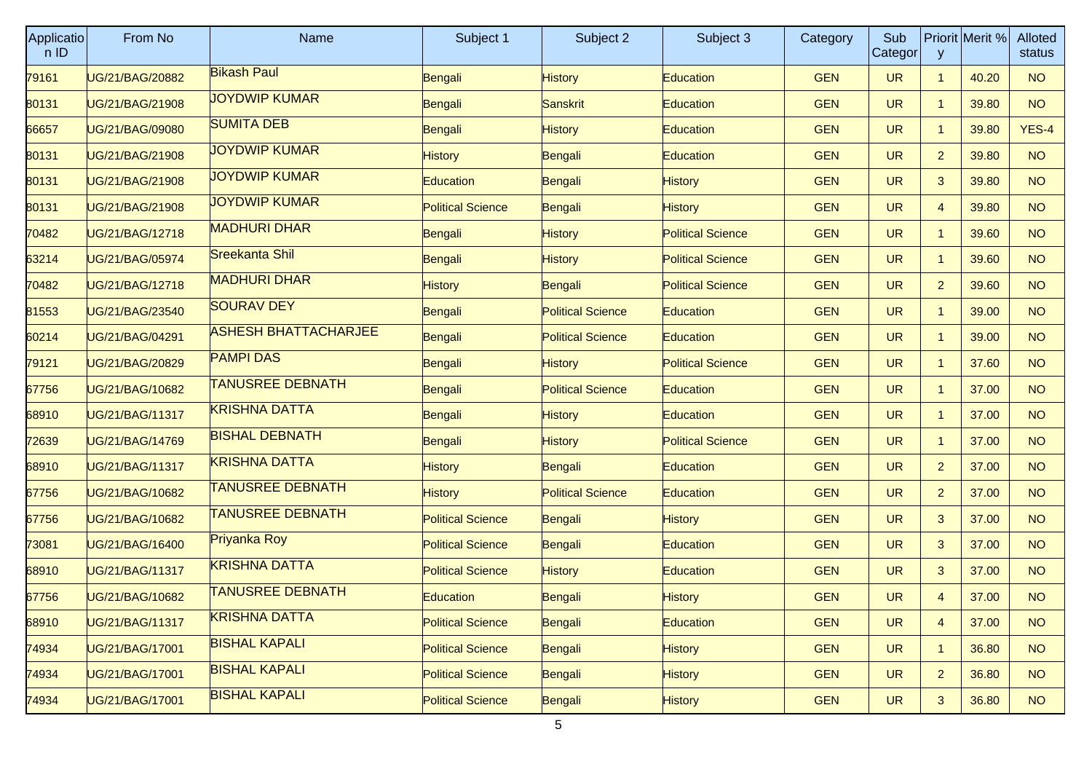| <b>Applicatio</b><br>nID | From No         | Name                        | Subject 1                | Subject 2                | Subject 3                | Category   | Sub<br>Categor | y              | Priorit Merit % | Alloted<br>status |
|--------------------------|-----------------|-----------------------------|--------------------------|--------------------------|--------------------------|------------|----------------|----------------|-----------------|-------------------|
| 79161                    | UG/21/BAG/20882 | <b>Bikash Paul</b>          | Bengali                  | <b>History</b>           | <b>Education</b>         | <b>GEN</b> | <b>UR</b>      | $\mathbf{1}$   | 40.20           | <b>NO</b>         |
| 80131                    | UG/21/BAG/21908 | <b>JOYDWIP KUMAR</b>        | Bengali                  | Sanskrit                 | <b>Education</b>         | <b>GEN</b> | <b>UR</b>      | $\mathbf{1}$   | 39.80           | <b>NO</b>         |
| 66657                    | UG/21/BAG/09080 | <b>SUMITA DEB</b>           | Bengali                  | <b>History</b>           | Education                | <b>GEN</b> | <b>UR</b>      | $\mathbf{1}$   | 39.80           | YES-4             |
| 80131                    | UG/21/BAG/21908 | <b>JOYDWIP KUMAR</b>        | <b>History</b>           | Bengali                  | <b>Education</b>         | <b>GEN</b> | <b>UR</b>      | $\overline{2}$ | 39.80           | <b>NO</b>         |
| 80131                    | UG/21/BAG/21908 | <b>JOYDWIP KUMAR</b>        | <b>Education</b>         | Bengali                  | <b>History</b>           | <b>GEN</b> | <b>UR</b>      | 3              | 39.80           | <b>NO</b>         |
| 80131                    | UG/21/BAG/21908 | <b>JOYDWIP KUMAR</b>        | <b>Political Science</b> | Bengali                  | <b>History</b>           | <b>GEN</b> | <b>UR</b>      | 4              | 39.80           | <b>NO</b>         |
| 70482                    | UG/21/BAG/12718 | <b>MADHURI DHAR</b>         | Bengali                  | <b>History</b>           | <b>Political Science</b> | <b>GEN</b> | <b>UR</b>      | $\mathbf{1}$   | 39.60           | <b>NO</b>         |
| 63214                    | UG/21/BAG/05974 | Sreekanta Shil              | Bengali                  | <b>History</b>           | <b>Political Science</b> | <b>GEN</b> | <b>UR</b>      | $\mathbf{1}$   | 39.60           | NO.               |
| 70482                    | UG/21/BAG/12718 | <b>MADHURI DHAR</b>         | <b>History</b>           | Bengali                  | <b>Political Science</b> | <b>GEN</b> | <b>UR</b>      | $\overline{2}$ | 39.60           | <b>NO</b>         |
| 81553                    | UG/21/BAG/23540 | <b>SOURAV DEY</b>           | Bengali                  | <b>Political Science</b> | Education                | <b>GEN</b> | <b>UR</b>      | $\mathbf{1}$   | 39.00           | <b>NO</b>         |
| 60214                    | UG/21/BAG/04291 | <b>ASHESH BHATTACHARJEE</b> | Bengali                  | <b>Political Science</b> | <b>Education</b>         | <b>GEN</b> | <b>UR</b>      | $\mathbf{1}$   | 39.00           | NO.               |
| 79121                    | UG/21/BAG/20829 | <b>PAMPI DAS</b>            | Bengali                  | <b>History</b>           | <b>Political Science</b> | <b>GEN</b> | <b>UR</b>      | $\mathbf{1}$   | 37.60           | <b>NO</b>         |
| 67756                    | UG/21/BAG/10682 | <b>TANUSREE DEBNATH</b>     | Bengali                  | <b>Political Science</b> | Education                | <b>GEN</b> | <b>UR</b>      | $\mathbf{1}$   | 37.00           | <b>NO</b>         |
| 68910                    | UG/21/BAG/11317 | <b>KRISHNA DATTA</b>        | Bengali                  | <b>History</b>           | <b>Education</b>         | <b>GEN</b> | <b>UR</b>      | $\mathbf{1}$   | 37.00           | NO.               |
| 72639                    | UG/21/BAG/14769 | <b>BISHAL DEBNATH</b>       | Bengali                  | <b>History</b>           | <b>Political Science</b> | <b>GEN</b> | <b>UR</b>      | $\mathbf{1}$   | 37.00           | <b>NO</b>         |
| 68910                    | UG/21/BAG/11317 | <b>KRISHNA DATTA</b>        | <b>History</b>           | Bengali                  | Education                | <b>GEN</b> | <b>UR</b>      | $\overline{2}$ | 37.00           | <b>NO</b>         |
| 67756                    | UG/21/BAG/10682 | <b>TANUSREE DEBNATH</b>     | <b>History</b>           | <b>Political Science</b> | <b>Education</b>         | <b>GEN</b> | <b>UR</b>      | $\overline{2}$ | 37.00           | NO.               |
| 67756                    | UG/21/BAG/10682 | <b>TANUSREE DEBNATH</b>     | <b>Political Science</b> | Bengali                  | <b>History</b>           | <b>GEN</b> | <b>UR</b>      | 3              | 37.00           | <b>NO</b>         |
| 73081                    | UG/21/BAG/16400 | Priyanka Roy                | <b>Political Science</b> | Bengali                  | <b>Education</b>         | <b>GEN</b> | <b>UR</b>      | 3              | 37.00           | <b>NO</b>         |
| 68910                    | UG/21/BAG/11317 | <b>KRISHNA DATTA</b>        | <b>Political Science</b> | <b>History</b>           | <b>Education</b>         | <b>GEN</b> | <b>UR</b>      | 3              | 37.00           | <b>NO</b>         |
| 67756                    | UG/21/BAG/10682 | <b>TANUSREE DEBNATH</b>     | Education                | Bengali                  | <b>History</b>           | <b>GEN</b> | <b>UR</b>      | 4              | 37.00           | <b>NO</b>         |
| 68910                    | UG/21/BAG/11317 | <b>KRISHNA DATTA</b>        | <b>Political Science</b> | Bengali                  | Education                | <b>GEN</b> | <b>UR</b>      | $\overline{4}$ | 37.00           | <b>NO</b>         |
| 74934                    | UG/21/BAG/17001 | <b>BISHAL KAPALI</b>        | <b>Political Science</b> | Bengali                  | <b>History</b>           | <b>GEN</b> | <b>UR</b>      | $\mathbf{1}$   | 36.80           | NO                |
| 74934                    | UG/21/BAG/17001 | <b>BISHAL KAPALI</b>        | <b>Political Science</b> | Bengali                  | <b>History</b>           | <b>GEN</b> | <b>UR</b>      | $\overline{2}$ | 36.80           | NO                |
| 74934                    | UG/21/BAG/17001 | <b>BISHAL KAPALI</b>        | <b>Political Science</b> | Bengali                  | <b>History</b>           | <b>GEN</b> | <b>UR</b>      | 3              | 36.80           | NO                |